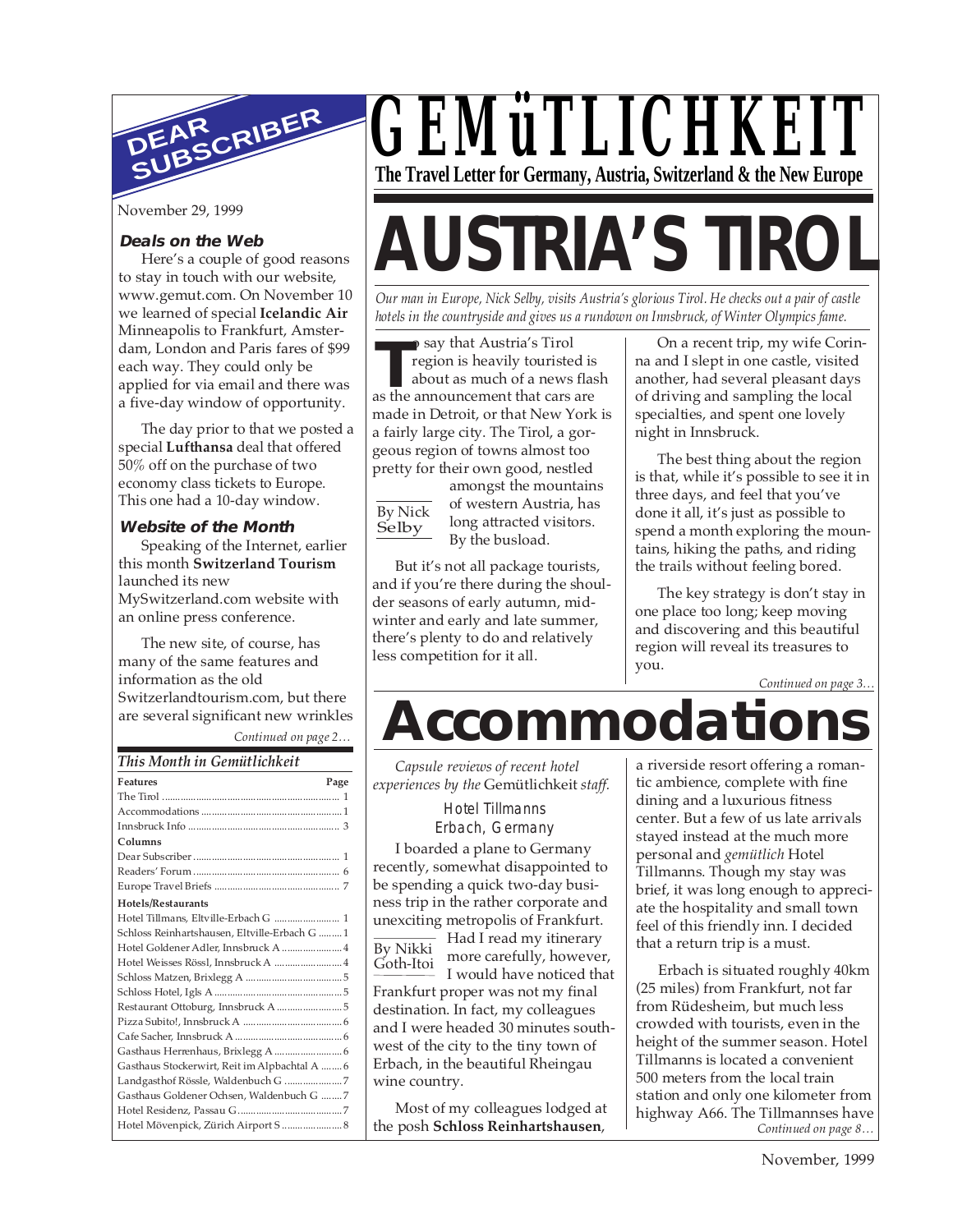

November 29, 1999

#### **Deals on the Web**

Here's a couple of good reasons to stay in touch with our website, www.gemut.com. On November 10 we learned of special **Icelandic Air** Minneapolis to Frankfurt, Amsterdam, London and Paris fares of \$99 each way. They could only be applied for via email and there was a five-day window of opportunity.

The day prior to that we posted a special **Lufthansa** deal that offered 50% off on the purchase of two economy class tickets to Europe. This one had a 10-day window.

#### **Website of the Month**

Speaking of the Internet, earlier this month **Switzerland Tourism** launched its new MySwitzerland.com website with an online press conference.

*Continued on page 2…* The new site, of course, has many of the same features and information as the old Switzerlandtourism.com, but there are several significant new wrinkles

#### *This Month in Gemütlichkeit*

## *GEMüTLICHKEIT* **The Travel Letter for Germany, Austria, Switzerland & the New Europe**

# **AUSTRIA'S TIROL**

*Our man in Europe, Nick Selby, visits Austria's glorious Tirol. He checks out a pair of castle hotels in the countryside and gives us a rundown on Innsbruck, of Winter Olympics fame.*

o say that Austria's Tirol<br>
region is heavily touristed is<br>
about as much of a news fla<br>
as the announcement that cars are o say that Austria's Tirol region is heavily touristed is about as much of a news flash made in Detroit, or that New York is a fairly large city. The Tirol, a gorgeous region of towns almost too pretty for their own good, nestled

By Nick Selby

amongst the mountains of western Austria, has long attracted visitors. By the busload.

But it's not all package tourists, and if you're there during the shoulder seasons of early autumn, midwinter and early and late summer, there's plenty to do and relatively less competition for it all.

On a recent trip, my wife Corinna and I slept in one castle, visited another, had several pleasant days of driving and sampling the local specialties, and spent one lovely night in Innsbruck.

The best thing about the region is that, while it's possible to see it in three days, and feel that you've done it all, it's just as possible to spend a month exploring the mountains, hiking the paths, and riding the trails without feeling bored.

The key strategy is don't stay in one place too long; keep moving and discovering and this beautiful region will reveal its treasures to you.

*Continued on page 3…*

# **Accommodations**

*Capsule reviews of recent hotel experiences by the* Gemütlichkeit *staff.*

> Hotel Tillmanns Erbach, Germany

I boarded a plane to Germany recently, somewhat disappointed to be spending a quick two-day business trip in the rather corporate and unexciting metropolis of Frankfurt.

Had I read my itinerary more carefully, however, By Nikki

Goth-Itoi

I would have noticed that Frankfurt proper was not my final destination. In fact, my colleagues and I were headed 30 minutes southwest of the city to the tiny town of Erbach, in the beautiful Rheingau wine country.

Most of my colleagues lodged at the posh **Schloss Reinhartshausen**,

a riverside resort offering a romantic ambience, complete with fine dining and a luxurious fitness center. But a few of us late arrivals stayed instead at the much more personal and *gemütlich* Hotel Tillmanns. Though my stay was brief, it was long enough to appreciate the hospitality and small town feel of this friendly inn. I decided that a return trip is a must.

*Continued on page 8…* Erbach is situated roughly 40km (25 miles) from Frankfurt, not far from Rüdesheim, but much less crowded with tourists, even in the height of the summer season. Hotel Tillmanns is located a convenient 500 meters from the local train station and only one kilometer from highway A66. The Tillmannses have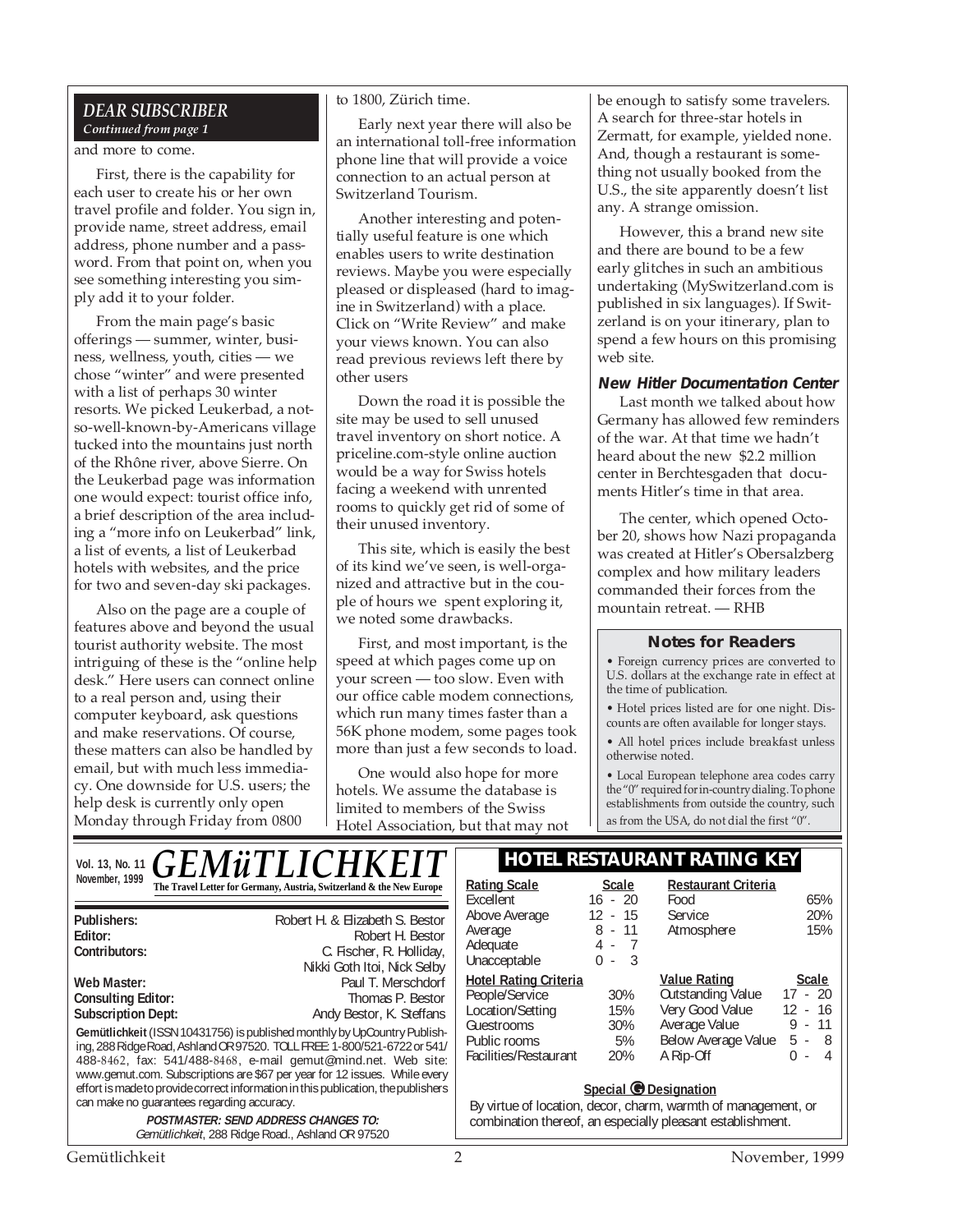#### *DEAR SUBSCRIBER*

#### *Continued from page 1* and more to come.

First, there is the capability for each user to create his or her own travel profile and folder. You sign in, provide name, street address, email address, phone number and a password. From that point on, when you see something interesting you simply add it to your folder.

From the main page's basic offerings — summer, winter, business, wellness, youth, cities — we chose "winter" and were presented with a list of perhaps 30 winter resorts. We picked Leukerbad, a notso-well-known-by-Americans village tucked into the mountains just north of the Rhône river, above Sierre. On the Leukerbad page was information one would expect: tourist office info, a brief description of the area including a "more info on Leukerbad" link, a list of events, a list of Leukerbad hotels with websites, and the price for two and seven-day ski packages.

Also on the page are a couple of features above and beyond the usual tourist authority website. The most intriguing of these is the "online help desk." Here users can connect online to a real person and, using their computer keyboard, ask questions and make reservations. Of course, these matters can also be handled by email, but with much less immediacy. One downside for U.S. users; the help desk is currently only open Monday through Friday from 0800

#### to 1800, Zürich time.

Early next year there will also be an international toll-free information phone line that will provide a voice connection to an actual person at Switzerland Tourism.

Another interesting and potentially useful feature is one which enables users to write destination reviews. Maybe you were especially pleased or displeased (hard to imagine in Switzerland) with a place. Click on "Write Review" and make your views known. You can also read previous reviews left there by other users

Down the road it is possible the site may be used to sell unused travel inventory on short notice. A priceline.com-style online auction would be a way for Swiss hotels facing a weekend with unrented rooms to quickly get rid of some of their unused inventory.

This site, which is easily the best of its kind we've seen, is well-organized and attractive but in the couple of hours we spent exploring it, we noted some drawbacks.

First, and most important, is the speed at which pages come up on your screen — too slow. Even with our office cable modem connections, which run many times faster than a 56K phone modem, some pages took more than just a few seconds to load.

One would also hope for more hotels. We assume the database is limited to members of the Swiss Hotel Association, but that may not be enough to satisfy some travelers. A search for three-star hotels in Zermatt, for example, yielded none. And, though a restaurant is something not usually booked from the U.S., the site apparently doesn't list any. A strange omission.

However, this a brand new site and there are bound to be a few early glitches in such an ambitious undertaking (MySwitzerland.com is published in six languages). If Switzerland is on your itinerary, plan to spend a few hours on this promising web site.

#### **New Hitler Documentation Center**

Last month we talked about how Germany has allowed few reminders of the war. At that time we hadn't heard about the new \$2.2 million center in Berchtesgaden that documents Hitler's time in that area.

The center, which opened October 20, shows how Nazi propaganda was created at Hitler's Obersalzberg complex and how military leaders commanded their forces from the mountain retreat. — RHB

#### **Notes for Readers**

• Foreign currency prices are converted to U.S. dollars at the exchange rate in effect at the time of publication.

• Hotel prices listed are for one night. Discounts are often available for longer stays.

• All hotel prices include breakfast unless otherwise noted.

• Local European telephone area codes carry the "0" required for in-country dialing. To phone establishments from outside the country, such as from the USA, do not dial the first "0".

| VOI. 13, No. 11 $\overline{GEMWTLICHKEIT}$                                                                                                |                                                                      | <b>HOTEL RESTAURANT RATING KEY</b>                            |                   |                            |            |
|-------------------------------------------------------------------------------------------------------------------------------------------|----------------------------------------------------------------------|---------------------------------------------------------------|-------------------|----------------------------|------------|
| November, 1999                                                                                                                            | The Travel Letter for Germany, Austria, Switzerland & the New Europe | <b>Rating Scale</b>                                           | <b>Scale</b>      | <b>Restaurant Criteria</b> |            |
|                                                                                                                                           |                                                                      | Excellent                                                     | $16 - 20$         | Food                       | 65%        |
| Publishers:                                                                                                                               | Robert H. & Elizabeth S. Bestor                                      | Above Average                                                 | $12 - 15$         | Service                    | 20%        |
| Editor:                                                                                                                                   | Robert H. Bestor                                                     | Average                                                       | $8 - 11$          | Atmosphere                 | 15%        |
| Contributors:                                                                                                                             | C. Fischer, R. Holliday,                                             | Adequate                                                      | $4 -$             |                            |            |
|                                                                                                                                           | Nikki Goth Itoi, Nick Selby                                          | Unacceptable                                                  | -3<br>0<br>$\sim$ |                            |            |
| Web Master:                                                                                                                               | Paul T. Merschdorf                                                   | <b>Hotel Rating Criteria</b>                                  |                   | <b>Value Rating</b>        | Scale      |
| <b>Consulting Editor:</b>                                                                                                                 | Thomas P. Bestor                                                     | People/Service                                                | 30%               | Outstanding Value          | $17 - 20$  |
| <b>Subscription Dept:</b>                                                                                                                 | Andy Bestor, K. Steffans                                             | Location/Setting                                              | 15%               | Very Good Value            | $12 - 16$  |
|                                                                                                                                           |                                                                      | Guestrooms                                                    | 30%               | Average Value              | -11<br>9 - |
| Gemütlichkeit (ISSN 10431756) is published monthly by UpCountry Publish-                                                                  |                                                                      | Public rooms                                                  | 5%                | Below Average Value        | $5 - 8$    |
| ing, 288 Ridge Road, Ashland OR 97520. TOLL FREE: 1-800/521-6722 or 541/<br>488-8462, fax: 541/488-8468, e-mail gemut@mind.net. Web site: |                                                                      | Facilities/Restaurant                                         | 20%               | A Rip-Off                  | $0 -$<br>Δ |
| www.gemut.com. Subscriptions are \$67 per year for 12 issues. While every                                                                 |                                                                      |                                                               |                   |                            |            |
| effort is made to provide correct information in this publication, the publishers                                                         |                                                                      | Special @ Designation                                         |                   |                            |            |
| can make no quarantees regarding accuracy.                                                                                                |                                                                      |                                                               |                   |                            |            |
|                                                                                                                                           |                                                                      | By virtue of location, decor, charm, warmth of management, or |                   |                            |            |
| <b>POSTMASTER: SEND ADDRESS CHANGES TO:</b><br>Gemütlichkeit, 288 Ridge Road., Ashland OR 97520                                           |                                                                      | combination thereof, an especially pleasant establishment.    |                   |                            |            |
|                                                                                                                                           |                                                                      |                                                               |                   |                            |            |
| Gemütlichkeit                                                                                                                             | 2                                                                    |                                                               |                   | November, 1999             |            |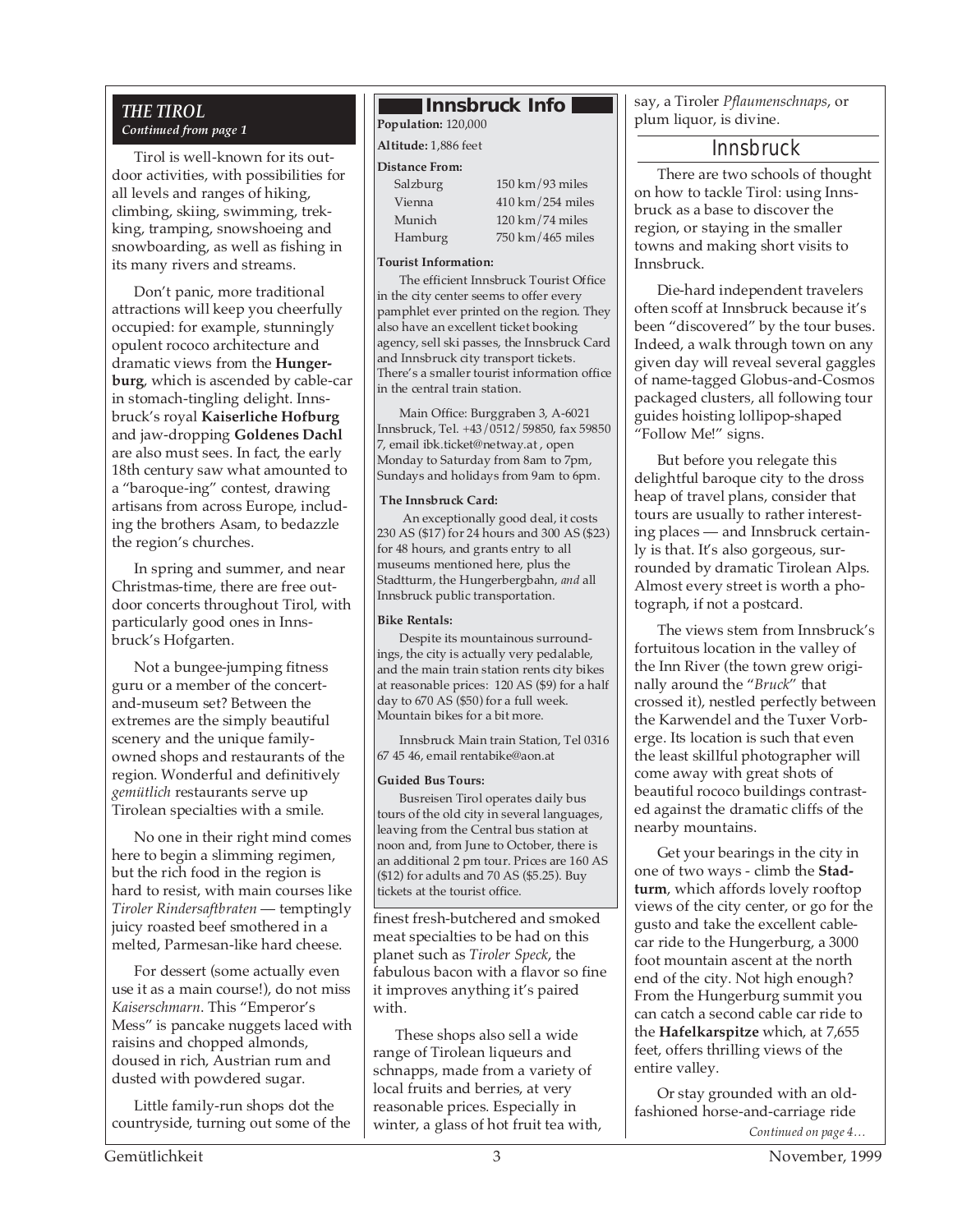### *Continued from page 1*

Tirol is well-known for its outdoor activities, with possibilities for all levels and ranges of hiking, climbing, skiing, swimming, trekking, tramping, snowshoeing and snowboarding, as well as fishing in its many rivers and streams.

Don't panic, more traditional attractions will keep you cheerfully occupied: for example, stunningly opulent rococo architecture and dramatic views from the **Hungerburg**, which is ascended by cable-car in stomach-tingling delight. Innsbruck's royal **Kaiserliche Hofburg** and jaw-dropping **Goldenes Dachl** are also must sees. In fact, the early 18th century saw what amounted to a "baroque-ing" contest, drawing artisans from across Europe, including the brothers Asam, to bedazzle the region's churches.

In spring and summer, and near Christmas-time, there are free outdoor concerts throughout Tirol, with particularly good ones in Innsbruck's Hofgarten.

Not a bungee-jumping fitness guru or a member of the concertand-museum set? Between the extremes are the simply beautiful scenery and the unique familyowned shops and restaurants of the region. Wonderful and definitively *gemütlich* restaurants serve up Tirolean specialties with a smile.

No one in their right mind comes here to begin a slimming regimen, but the rich food in the region is hard to resist, with main courses like *Tiroler Rindersaftbraten* — temptingly juicy roasted beef smothered in a melted, Parmesan-like hard cheese.

For dessert (some actually even use it as a main course!), do not miss *Kaiserschmarn*. This "Emperor's Mess" is pancake nuggets laced with raisins and chopped almonds, doused in rich, Austrian rum and dusted with powdered sugar.

Little family-run shops dot the countryside, turning out some of the

#### *THE TIROL* **Innsbruck Info**

**Population:** 120,000

**Altitude:** 1,886 feet

#### **Distance From:**

| Salzburg |  |
|----------|--|
| Vienna   |  |
| Munich   |  |
| Hamburg  |  |

 $150 \text{ km} / 93 \text{ miles}$  $410 \text{ km} / 254 \text{ miles}$  $120 \mathrm{km}/74 \mathrm{miles}$  $750$  km/465 miles

#### **Tourist Information:**

The efficient Innsbruck Tourist Office in the city center seems to offer every pamphlet ever printed on the region. They also have an excellent ticket booking agency, sell ski passes, the Innsbruck Card and Innsbruck city transport tickets. There's a smaller tourist information office in the central train station.

Main Office: Burggraben 3, A-6021 Innsbruck, Tel. +43/0512/59850, fax 59850 7, email ibk.ticket@netway.at , open Monday to Saturday from 8am to 7pm, Sundays and holidays from 9am to 6pm.

#### **The Innsbruck Card:**

An exceptionally good deal, it costs 230 AS (\$17) for 24 hours and 300 AS (\$23) for 48 hours, and grants entry to all museums mentioned here, plus the Stadtturm, the Hungerbergbahn, *and* all Innsbruck public transportation.

#### **Bike Rentals:**

Despite its mountainous surroundings, the city is actually very pedalable, and the main train station rents city bikes at reasonable prices: 120 AS (\$9) for a half day to 670 AS (\$50) for a full week. Mountain bikes for a bit more.

Innsbruck Main train Station, Tel 0316 67 45 46, email rentabike@aon.at

#### **Guided Bus Tours:**

Busreisen Tirol operates daily bus tours of the old city in several languages, leaving from the Central bus station at noon and, from June to October, there is an additional 2 pm tour. Prices are 160 AS (\$12) for adults and 70 AS (\$5.25). Buy tickets at the tourist office.

finest fresh-butchered and smoked meat specialties to be had on this planet such as *Tiroler Speck*, the fabulous bacon with a flavor so fine it improves anything it's paired with.

These shops also sell a wide range of Tirolean liqueurs and schnapps, made from a variety of local fruits and berries, at very reasonable prices. Especially in winter, a glass of hot fruit tea with, say, a Tiroler *Pflaumenschnaps*, or plum liquor, is divine.

#### Innsbruck

There are two schools of thought on how to tackle Tirol: using Innsbruck as a base to discover the region, or staying in the smaller towns and making short visits to Innsbruck.

Die-hard independent travelers often scoff at Innsbruck because it's been "discovered" by the tour buses. Indeed, a walk through town on any given day will reveal several gaggles of name-tagged Globus-and-Cosmos packaged clusters, all following tour guides hoisting lollipop-shaped "Follow Me!" signs.

But before you relegate this delightful baroque city to the dross heap of travel plans, consider that tours are usually to rather interesting places — and Innsbruck certainly is that. It's also gorgeous, surrounded by dramatic Tirolean Alps. Almost every street is worth a photograph, if not a postcard.

The views stem from Innsbruck's fortuitous location in the valley of the Inn River (the town grew originally around the "*Bruck*" that crossed it), nestled perfectly between the Karwendel and the Tuxer Vorberge. Its location is such that even the least skillful photographer will come away with great shots of beautiful rococo buildings contrasted against the dramatic cliffs of the nearby mountains.

Get your bearings in the city in one of two ways - climb the **Stadturm**, which affords lovely rooftop views of the city center, or go for the gusto and take the excellent cablecar ride to the Hungerburg, a 3000 foot mountain ascent at the north end of the city. Not high enough? From the Hungerburg summit you can catch a second cable car ride to the **Hafelkarspitze** which, at 7,655 feet, offers thrilling views of the entire valley.

*Continued on page 4…* Or stay grounded with an oldfashioned horse-and-carriage ride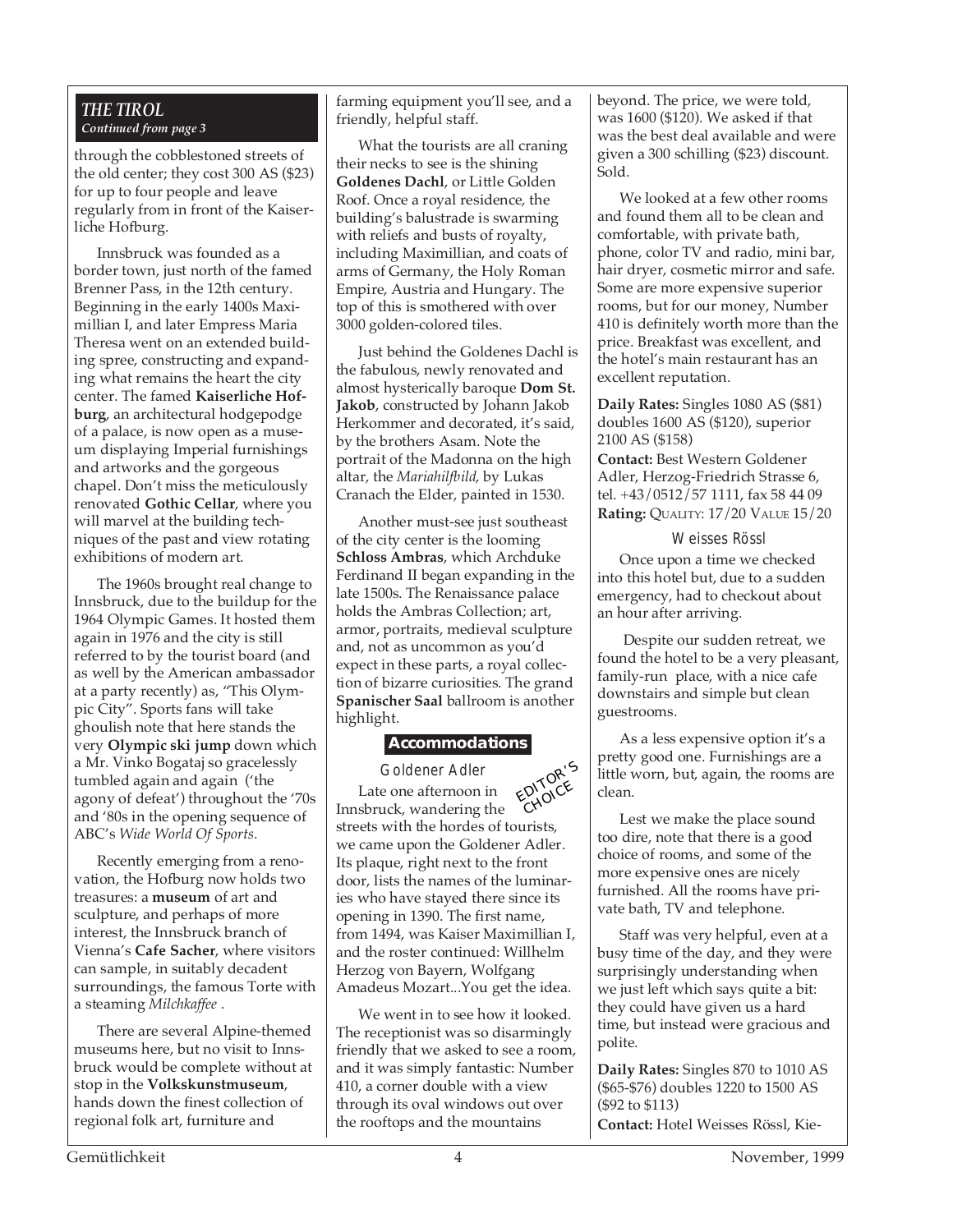#### *THE TIROL Continued from page 3*

through the cobblestoned streets of the old center; they cost 300 AS (\$23) for up to four people and leave regularly from in front of the Kaiserliche Hofburg.

Innsbruck was founded as a border town, just north of the famed Brenner Pass, in the 12th century. Beginning in the early 1400s Maximillian I, and later Empress Maria Theresa went on an extended building spree, constructing and expanding what remains the heart the city center. The famed **Kaiserliche Hofburg**, an architectural hodgepodge of a palace, is now open as a museum displaying Imperial furnishings and artworks and the gorgeous chapel. Don't miss the meticulously renovated **Gothic Cellar**, where you will marvel at the building techniques of the past and view rotating exhibitions of modern art.

The 1960s brought real change to Innsbruck, due to the buildup for the 1964 Olympic Games. It hosted them again in 1976 and the city is still referred to by the tourist board (and as well by the American ambassador at a party recently) as, "This Olympic City". Sports fans will take ghoulish note that here stands the very **Olympic ski jump** down which a Mr. Vinko Bogataj so gracelessly tumbled again and again ('the agony of defeat') throughout the '70s and '80s in the opening sequence of ABC's *Wide World Of Sports*.

Recently emerging from a renovation, the Hofburg now holds two treasures: a **museum** of art and sculpture, and perhaps of more interest, the Innsbruck branch of Vienna's **Cafe Sacher**, where visitors can sample, in suitably decadent surroundings, the famous Torte with a steaming *Milchkaffee* .

There are several Alpine-themed museums here, but no visit to Innsbruck would be complete without at stop in the **Volkskunstmuseum**, hands down the finest collection of regional folk art, furniture and

farming equipment you'll see, and a friendly, helpful staff.

What the tourists are all craning their necks to see is the shining **Goldenes Dachl**, or Little Golden Roof. Once a royal residence, the building's balustrade is swarming with reliefs and busts of royalty, including Maximillian, and coats of arms of Germany, the Holy Roman Empire, Austria and Hungary. The top of this is smothered with over 3000 golden-colored tiles.

Just behind the Goldenes Dachl is the fabulous, newly renovated and almost hysterically baroque **Dom St. Jakob**, constructed by Johann Jakob Herkommer and decorated, it's said, by the brothers Asam. Note the portrait of the Madonna on the high altar, the *Mariahilfbild*, by Lukas Cranach the Elder, painted in 1530.

Another must-see just southeast of the city center is the looming **Schloss Ambras**, which Archduke Ferdinand II began expanding in the late 1500s. The Renaissance palace holds the Ambras Collection; art, armor, portraits, medieval sculpture and, not as uncommon as you'd expect in these parts, a royal collection of bizarre curiosities. The grand **Spanischer Saal** ballroom is another highlight.

#### **Accommodations**

Goldener Adler Late one afternoon in Innsbruck, wandering the streets with the hordes of tourists, we came upon the Goldener Adler. Its plaque, right next to the front door, lists the names of the luminaries who have stayed there since its opening in 1390. The first name, from 1494, was Kaiser Maximillian I, and the roster continued: Willhelm Herzog von Bayern, Wolfgang Amadeus Mozart...You get the idea. EDITOR'<sup>S</sup> CHOICE

We went in to see how it looked. The receptionist was so disarmingly friendly that we asked to see a room, and it was simply fantastic: Number 410, a corner double with a view through its oval windows out over the rooftops and the mountains

beyond. The price, we were told, was 1600 (\$120). We asked if that was the best deal available and were given a 300 schilling (\$23) discount. Sold.

We looked at a few other rooms and found them all to be clean and comfortable, with private bath, phone, color TV and radio, mini bar, hair dryer, cosmetic mirror and safe. Some are more expensive superior rooms, but for our money, Number 410 is definitely worth more than the price. Breakfast was excellent, and the hotel's main restaurant has an excellent reputation.

**Daily Rates:** Singles 1080 AS (\$81) doubles 1600 AS (\$120), superior 2100 AS (\$158)

**Contact:** Best Western Goldener Adler, Herzog-Friedrich Strasse 6, tel. +43/0512/57 1111, fax 58 44 09 **Rating:** QUALITY: 17/20 VALUE 15/20

Weisses Rössl Once upon a time we checked into this hotel but, due to a sudden emergency, had to checkout about an hour after arriving.

 Despite our sudden retreat, we found the hotel to be a very pleasant, family-run place, with a nice cafe downstairs and simple but clean guestrooms.

As a less expensive option it's a pretty good one. Furnishings are a little worn, but, again, the rooms are clean.

Lest we make the place sound too dire, note that there is a good choice of rooms, and some of the more expensive ones are nicely furnished. All the rooms have private bath, TV and telephone.

Staff was very helpful, even at a busy time of the day, and they were surprisingly understanding when we just left which says quite a bit: they could have given us a hard time, but instead were gracious and polite.

**Daily Rates:** Singles 870 to 1010 AS (\$65-\$76) doubles 1220 to 1500 AS (\$92 to \$113) **Contact:** Hotel Weisses Rössl, Kie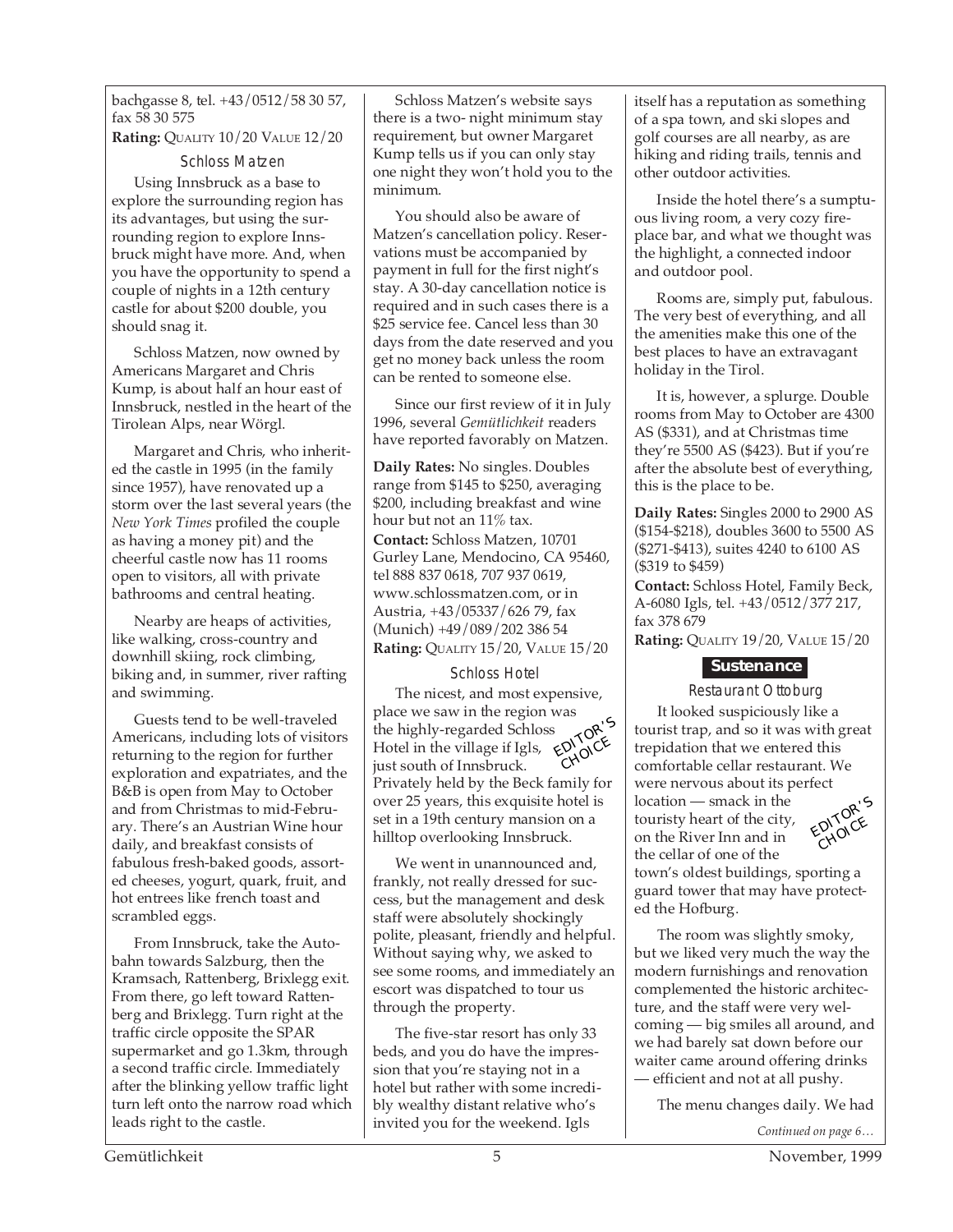bachgasse 8, tel. +43/0512/58 30 57, fax 58 30 575 **Rating:** QUALITY 10/20 VALUE 12/20

Schloss Matzen Using Innsbruck as a base to explore the surrounding region has its advantages, but using the surrounding region to explore Innsbruck might have more. And, when you have the opportunity to spend a couple of nights in a 12th century

Schloss Matzen, now owned by Americans Margaret and Chris Kump, is about half an hour east of Innsbruck, nestled in the heart of the Tirolean Alps, near Wörgl.

castle for about \$200 double, you

should snag it.

Margaret and Chris, who inherited the castle in 1995 (in the family since 1957), have renovated up a storm over the last several years (the *New York Times* profiled the couple as having a money pit) and the cheerful castle now has 11 rooms open to visitors, all with private bathrooms and central heating.

Nearby are heaps of activities, like walking, cross-country and downhill skiing, rock climbing, biking and, in summer, river rafting and swimming.

Guests tend to be well-traveled Americans, including lots of visitors returning to the region for further exploration and expatriates, and the B&B is open from May to October and from Christmas to mid-February. There's an Austrian Wine hour daily, and breakfast consists of fabulous fresh-baked goods, assorted cheeses, yogurt, quark, fruit, and hot entrees like french toast and scrambled eggs.

From Innsbruck, take the Autobahn towards Salzburg, then the Kramsach, Rattenberg, Brixlegg exit. From there, go left toward Rattenberg and Brixlegg. Turn right at the traffic circle opposite the SPAR supermarket and go 1.3km, through a second traffic circle. Immediately after the blinking yellow traffic light turn left onto the narrow road which leads right to the castle.

Schloss Matzen's website says there is a two- night minimum stay requirement, but owner Margaret Kump tells us if you can only stay one night they won't hold you to the minimum.

You should also be aware of Matzen's cancellation policy. Reservations must be accompanied by payment in full for the first night's stay. A 30-day cancellation notice is required and in such cases there is a \$25 service fee. Cancel less than 30 days from the date reserved and you get no money back unless the room can be rented to someone else.

Since our first review of it in July 1996, several *Gemütlichkeit* readers have reported favorably on Matzen.

**Daily Rates:** No singles. Doubles range from \$145 to \$250, averaging \$200, including breakfast and wine hour but not an 11% tax. **Contact:** Schloss Matzen, 10701 Gurley Lane, Mendocino, CA 95460, tel 888 837 0618, 707 937 0619, www.schlossmatzen.com, or in Austria, +43/05337/626 79, fax (Munich) +49/089/202 386 54 **Rating:** QUALITY 15/20, VALUE 15/20

#### Schloss Hotel

The nicest, and most expensive, place we saw in the region was the highly-regarded Schloss Hotel in the village if Igls, just south of Innsbruck. Privately held by the Beck family for over 25 years, this exquisite hotel is set in a 19th century mansion on a hilltop overlooking Innsbruck. EDITOR'S CHOICE

We went in unannounced and, frankly, not really dressed for success, but the management and desk staff were absolutely shockingly polite, pleasant, friendly and helpful. Without saying why, we asked to see some rooms, and immediately an escort was dispatched to tour us through the property.

The five-star resort has only 33 beds, and you do have the impression that you're staying not in a hotel but rather with some incredibly wealthy distant relative who's invited you for the weekend. Igls

itself has a reputation as something of a spa town, and ski slopes and golf courses are all nearby, as are hiking and riding trails, tennis and other outdoor activities.

Inside the hotel there's a sumptuous living room, a very cozy fireplace bar, and what we thought was the highlight, a connected indoor and outdoor pool.

Rooms are, simply put, fabulous. The very best of everything, and all the amenities make this one of the best places to have an extravagant holiday in the Tirol.

It is, however, a splurge. Double rooms from May to October are 4300 AS (\$331), and at Christmas time they're 5500 AS (\$423). But if you're after the absolute best of everything, this is the place to be.

**Daily Rates:** Singles 2000 to 2900 AS (\$154-\$218), doubles 3600 to 5500 AS (\$271-\$413), suites 4240 to 6100 AS (\$319 to \$459)

**Contact:** Schloss Hotel, Family Beck, A-6080 Igls, tel. +43/0512/377 217, fax 378 679

**Rating:** QUALITY 19/20, VALUE 15/20

#### **Sustenance**

Restaurant Ottoburg

It looked suspiciously like a tourist trap, and so it was with great trepidation that we entered this comfortable cellar restaurant. We were nervous about its perfect location — smack in the touristy heart of the city, on the River Inn and in the cellar of one of the town's oldest buildings, sporting a EDITOR'<sup>S</sup> CHOICE

guard tower that may have protected the Hofburg.

The room was slightly smoky, but we liked very much the way the modern furnishings and renovation complemented the historic architecture, and the staff were very welcoming — big smiles all around, and we had barely sat down before our waiter came around offering drinks — efficient and not at all pushy.

The menu changes daily. We had

*Continued on page 6…*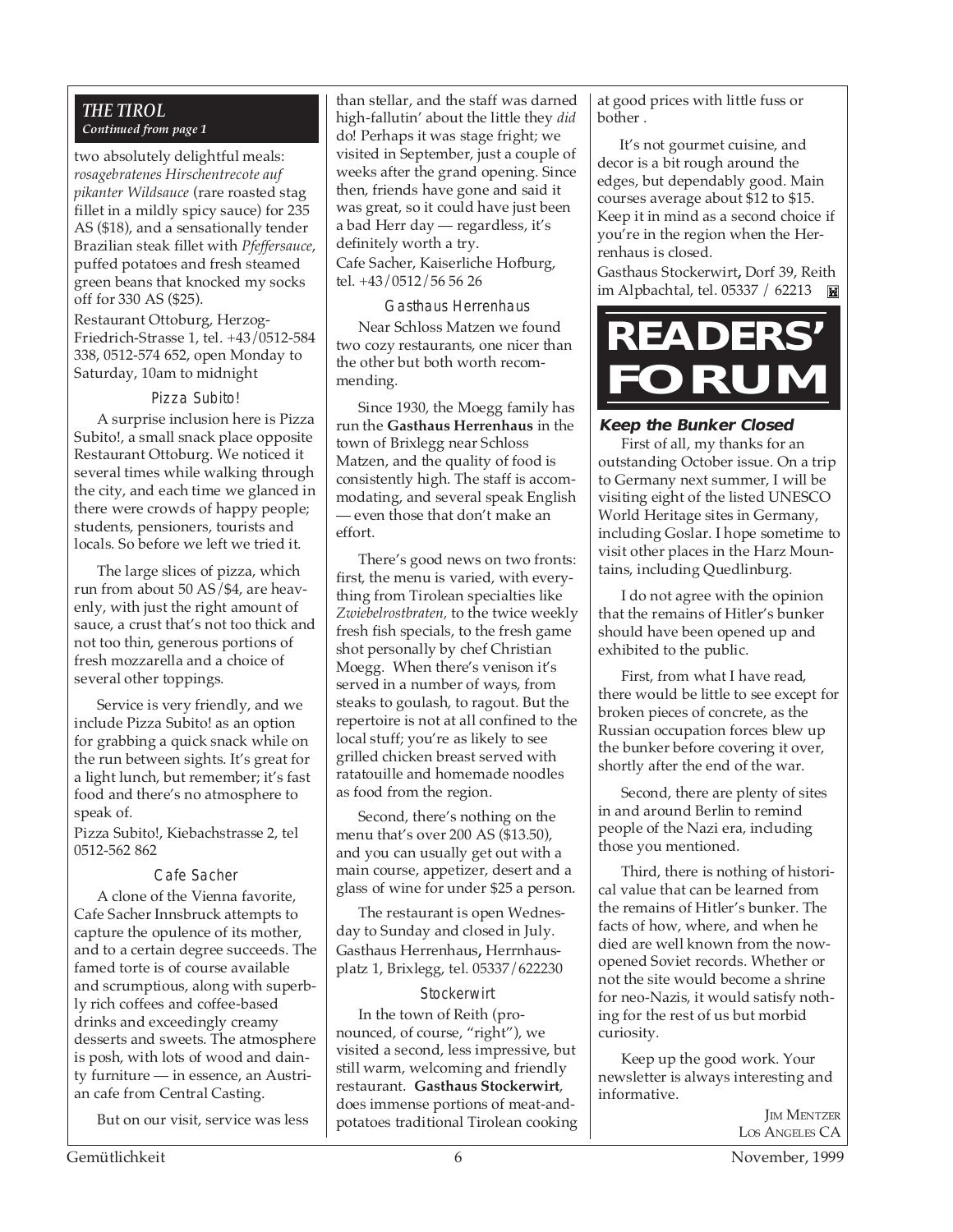#### *THE TIROL Continued from page 1*

two absolutely delightful meals: *rosagebratenes Hirschentrecote auf pikanter Wildsauce* (rare roasted stag fillet in a mildly spicy sauce) for 235 AS (\$18), and a sensationally tender Brazilian steak fillet with *Pfeffersauce*, puffed potatoes and fresh steamed green beans that knocked my socks off for 330 AS (\$25).

Restaurant Ottoburg, Herzog-Friedrich-Strasse 1, tel. +43/0512-584 338, 0512-574 652, open Monday to Saturday, 10am to midnight

#### Pizza Subito!

A surprise inclusion here is Pizza Subito!, a small snack place opposite Restaurant Ottoburg. We noticed it several times while walking through the city, and each time we glanced in there were crowds of happy people; students, pensioners, tourists and locals. So before we left we tried it.

The large slices of pizza, which run from about 50 AS/\$4, are heavenly, with just the right amount of sauce, a crust that's not too thick and not too thin, generous portions of fresh mozzarella and a choice of several other toppings.

Service is very friendly, and we include Pizza Subito! as an option for grabbing a quick snack while on the run between sights. It's great for a light lunch, but remember; it's fast food and there's no atmosphere to speak of.

Pizza Subito!, Kiebachstrasse 2, tel 0512-562 862

#### Cafe Sacher

A clone of the Vienna favorite, Cafe Sacher Innsbruck attempts to capture the opulence of its mother, and to a certain degree succeeds. The famed torte is of course available and scrumptious, along with superbly rich coffees and coffee-based drinks and exceedingly creamy desserts and sweets. The atmosphere is posh, with lots of wood and dainty furniture — in essence, an Austrian cafe from Central Casting.

But on our visit, service was less

than stellar, and the staff was darned high-fallutin' about the little they *did* do! Perhaps it was stage fright; we visited in September, just a couple of weeks after the grand opening. Since then, friends have gone and said it was great, so it could have just been a bad Herr day — regardless, it's definitely worth a try. Cafe Sacher, Kaiserliche Hofburg, tel. +43/0512/56 56 26

#### Gasthaus Herrenhaus

Near Schloss Matzen we found two cozy restaurants, one nicer than the other but both worth recommending.

Since 1930, the Moegg family has run the **Gasthaus Herrenhaus** in the town of Brixlegg near Schloss Matzen, and the quality of food is consistently high. The staff is accommodating, and several speak English — even those that don't make an effort.

There's good news on two fronts: first, the menu is varied, with everything from Tirolean specialties like *Zwiebelrostbraten,* to the twice weekly fresh fish specials, to the fresh game shot personally by chef Christian Moegg. When there's venison it's served in a number of ways, from steaks to goulash, to ragout. But the repertoire is not at all confined to the local stuff; you're as likely to see grilled chicken breast served with ratatouille and homemade noodles as food from the region.

Second, there's nothing on the menu that's over 200 AS (\$13.50), and you can usually get out with a main course, appetizer, desert and a glass of wine for under \$25 a person.

The restaurant is open Wednesday to Sunday and closed in July. Gasthaus Herrenhaus**,** Herrnhausplatz 1, Brixlegg, tel. 05337/622230

#### **Stockerwirt**

In the town of Reith (pronounced, of course, "right"), we visited a second, less impressive, but still warm, welcoming and friendly restaurant. **Gasthaus Stockerwirt**, does immense portions of meat-andpotatoes traditional Tirolean cooking at good prices with little fuss or bother .

It's not gourmet cuisine, and decor is a bit rough around the edges, but dependably good. Main courses average about \$12 to \$15. Keep it in mind as a second choice if you're in the region when the Herrenhaus is closed.

Gasthaus Stockerwirt**,** Dorf 39, Reith im Alpbachtal, tel. 05337 / 62213 **M** 



#### **Keep the Bunker Closed**

First of all, my thanks for an outstanding October issue. On a trip to Germany next summer, I will be visiting eight of the listed UNESCO World Heritage sites in Germany, including Goslar. I hope sometime to visit other places in the Harz Mountains, including Quedlinburg.

I do not agree with the opinion that the remains of Hitler's bunker should have been opened up and exhibited to the public.

First, from what I have read, there would be little to see except for broken pieces of concrete, as the Russian occupation forces blew up the bunker before covering it over, shortly after the end of the war.

Second, there are plenty of sites in and around Berlin to remind people of the Nazi era, including those you mentioned.

Third, there is nothing of historical value that can be learned from the remains of Hitler's bunker. The facts of how, where, and when he died are well known from the nowopened Soviet records. Whether or not the site would become a shrine for neo-Nazis, it would satisfy nothing for the rest of us but morbid curiosity.

Keep up the good work. Your newsletter is always interesting and informative.

> **IM MENTZER** LOS ANGELES CA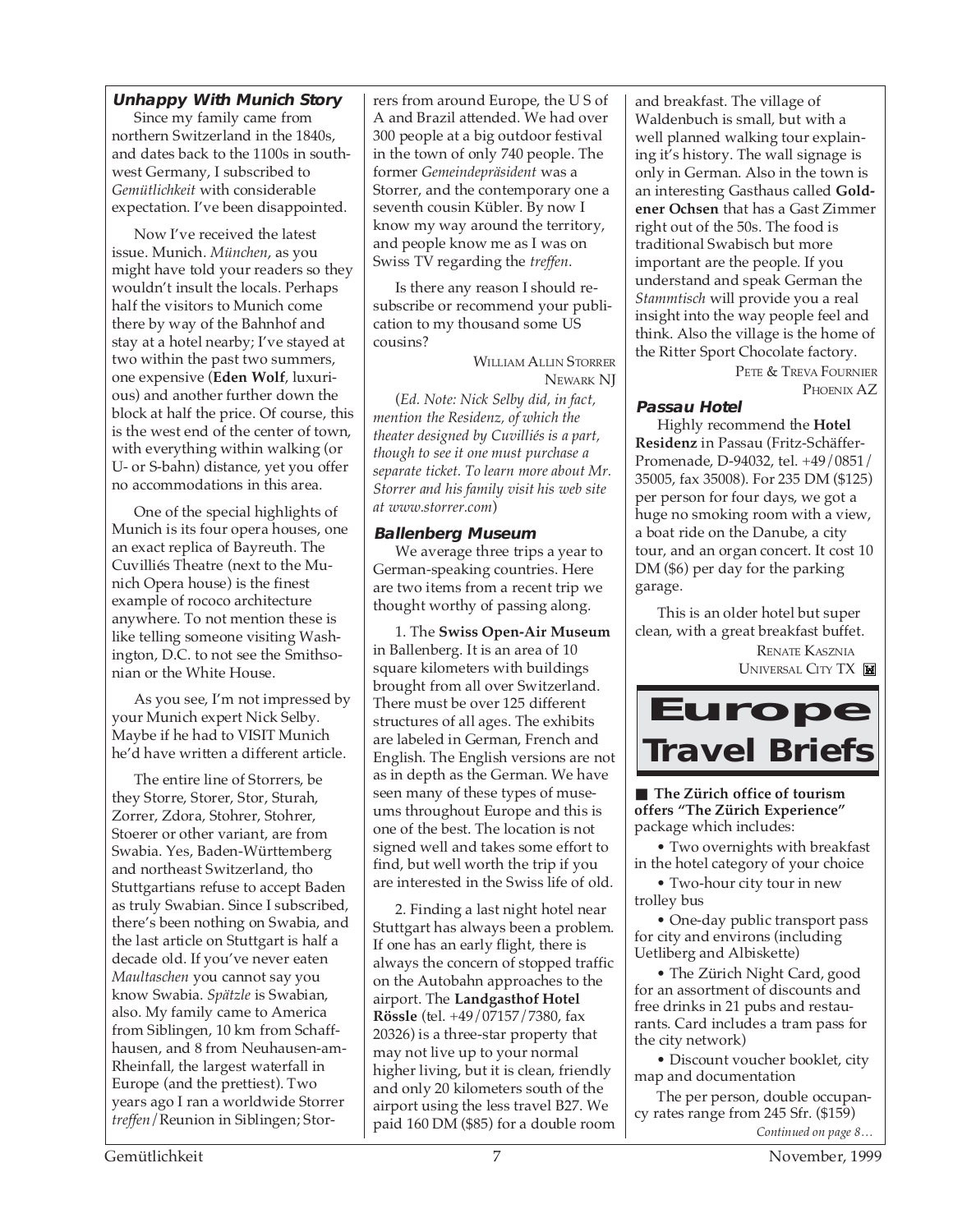#### **Unhappy With Munich Story**

Since my family came from northern Switzerland in the 1840s, and dates back to the 1100s in southwest Germany, I subscribed to *Gemütlichkeit* with considerable expectation. I've been disappointed.

Now I've received the latest issue. Munich. *München*, as you might have told your readers so they wouldn't insult the locals. Perhaps half the visitors to Munich come there by way of the Bahnhof and stay at a hotel nearby; I've stayed at two within the past two summers, one expensive (**Eden Wolf**, luxurious) and another further down the block at half the price. Of course, this is the west end of the center of town, with everything within walking (or U- or S-bahn) distance, yet you offer no accommodations in this area.

One of the special highlights of Munich is its four opera houses, one an exact replica of Bayreuth. The Cuvilliés Theatre (next to the Munich Opera house) is the finest example of rococo architecture anywhere. To not mention these is like telling someone visiting Washington, D.C. to not see the Smithsonian or the White House.

As you see, I'm not impressed by your Munich expert Nick Selby. Maybe if he had to VISIT Munich he'd have written a different article.

The entire line of Storrers, be they Storre, Storer, Stor, Sturah, Zorrer, Zdora, Stohrer, Stohrer, Stoerer or other variant, are from Swabia. Yes, Baden-Württemberg and northeast Switzerland, tho Stuttgartians refuse to accept Baden as truly Swabian. Since I subscribed, there's been nothing on Swabia, and the last article on Stuttgart is half a decade old. If you've never eaten *Maultaschen* you cannot say you know Swabia. *Spätzle* is Swabian, also. My family came to America from Siblingen, 10 km from Schaffhausen, and 8 from Neuhausen-am-Rheinfall, the largest waterfall in Europe (and the prettiest). Two years ago I ran a worldwide Storrer *treffen*/Reunion in Siblingen; Storrers from around Europe, the U S of A and Brazil attended. We had over 300 people at a big outdoor festival in the town of only 740 people. The former *Gemeindepräsident* was a Storrer, and the contemporary one a seventh cousin Kübler. By now I know my way around the territory, and people know me as I was on Swiss TV regarding the *treffen*.

Is there any reason I should resubscribe or recommend your publication to my thousand some US cousins?

> WILLIAM ALLIN STORRER NEWARK NJ

(*Ed. Note: Nick Selby did, in fact, mention the Residenz, of which the theater designed by Cuvilliés is a part, though to see it one must purchase a separate ticket. To learn more about Mr. Storrer and his family visit his web site at www.storrer.com*)

#### **Ballenberg Museum**

We average three trips a year to German-speaking countries. Here are two items from a recent trip we thought worthy of passing along.

1. The **Swiss Open-Air Museum** in Ballenberg. It is an area of 10 square kilometers with buildings brought from all over Switzerland. There must be over 125 different structures of all ages. The exhibits are labeled in German, French and English. The English versions are not as in depth as the German. We have seen many of these types of museums throughout Europe and this is one of the best. The location is not signed well and takes some effort to find, but well worth the trip if you are interested in the Swiss life of old.

2. Finding a last night hotel near Stuttgart has always been a problem. If one has an early flight, there is always the concern of stopped traffic on the Autobahn approaches to the airport. The **Landgasthof Hotel Rössle** (tel. +49/07157/7380, fax 20326) is a three-star property that may not live up to your normal higher living, but it is clean, friendly and only 20 kilometers south of the airport using the less travel B27. We paid 160 DM (\$85) for a double room and breakfast. The village of Waldenbuch is small, but with a well planned walking tour explaining it's history. The wall signage is only in German. Also in the town is an interesting Gasthaus called **Goldener Ochsen** that has a Gast Zimmer right out of the 50s. The food is traditional Swabisch but more important are the people. If you understand and speak German the *Stammtisch* will provide you a real insight into the way people feel and think. Also the village is the home of the Ritter Sport Chocolate factory.

> PETE & TREVA FOURNIER PHOENIX AZ

#### **Passau Hotel**

Highly recommend the **Hotel Residenz** in Passau (Fritz-Schäffer-Promenade, D-94032, tel. +49/0851/ 35005, fax 35008). For 235 DM (\$125) per person for four days, we got a huge no smoking room with a view, a boat ride on the Danube, a city tour, and an organ concert. It cost 10 DM (\$6) per day for the parking garage.

This is an older hotel but super clean, with a great breakfast buffet. RENATE KASZNIA **UNIVERSAL CITY TX** 



■ **The Zürich office of tourism offers "The Zürich Experience"** package which includes:

• Two overnights with breakfast in the hotel category of your choice

• Two-hour city tour in new trolley bus

• One-day public transport pass for city and environs (including Uetliberg and Albiskette)

• The Zürich Night Card, good for an assortment of discounts and free drinks in 21 pubs and restaurants. Card includes a tram pass for the city network)

• Discount voucher booklet, city map and documentation

*Continued on page 8…* The per person, double occupancy rates range from 245 Sfr. (\$159)